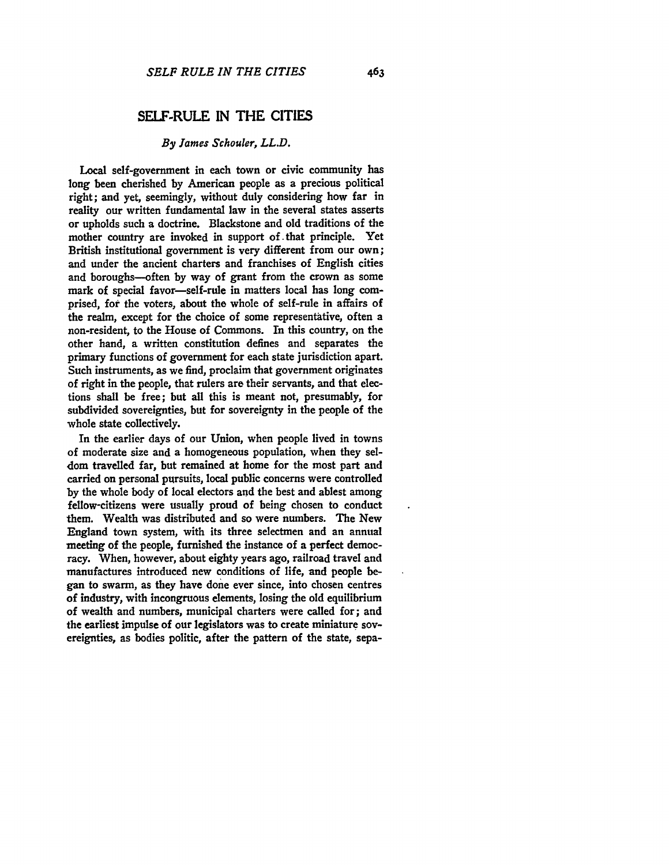## **SELF-RULE IN** THE **CITIES**

## *By James Schouler, LL.D.*

**Local** self-government in each town or civic community has long been cherished **by** American people as a precious political right; and yet, seemingly, without duly considering how far in reality our written fundamental law in the several states asserts or upholds such a doctrine. Blackstone and old traditions of the mother country are invoked in support of. that principle. Yet British institutional government is very different from our own; and under the ancient charters and franchises of English cities and boroughs-often **by** way of grant from the crown as some mark of special favor-self-rule in matters local has long comprised, for the voters, about the whole of self-rule in affairs of the realm, except for the choice of some representative, often a non-resident, to the House of Commons. In this country, on the other hand, a written constitution defines and separates the primary functions of government for each state jurisdiction apart. Such instruments, as we find, proclaim that government originates of right in the people, that rulers are their servants, and that elections shall be free; but all this is meant not, presumably, for subdivided sovereignties, but for sovereignty in the people of the whole state collectively.

In the earlier days of our Union, when people lived in towns of moderate size and a homogeneous population, when they seldom travelled far, but remained at home for the most part and carried on personal pursuits, local public concerns were controlled by the whole body of local electors and the best and ablest among fellow-citizens were usually proud of being chosen to conduct them. Wealth was distributed and so were numbers. The New England town system, with its three selectmen and an annual meeting of the people, furnished the instance of a perfect democracy. When, however, about eighty years ago, railroad travel and manufactures introduced new conditions of life, and people began to swarm, as they have done ever since, into chosen centres of industry, with incongruous elements, losing the old equilibrium of wealth and numbers, municipal charters were called for; and the earliest impulse of our legislators was to create miniature sovereignties, as bodies politic, after the pattern of the state, sepa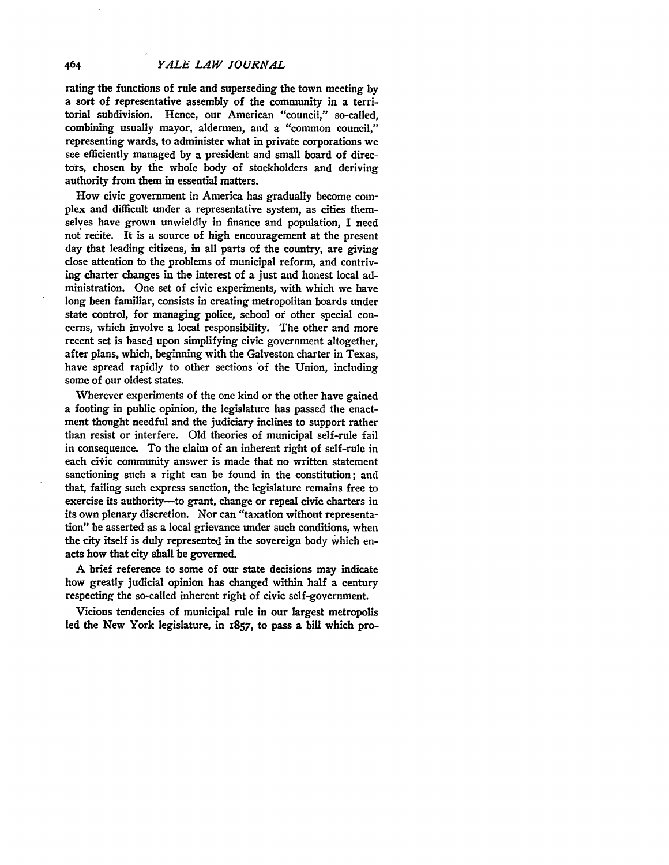**rating** the functions of rule and superseding the town meeting **by** a sort of representative assembly of the community in a territorial subdivision. Hence, our American "council," so-called, combining usually mayor, aldermen, and a "common council," representing wards, to administer what in private corporations we see efficiently managed **by** a president and small board of direc**tors,** chosen **by** the whole body of stockholders and deriving authority from them in essential matters.

How civic government in America has gradually become complex and difficult under a representative system, as cities themselves have grown unwieldly in finance and population, I need not recite. It is a source of high encouragement at the present day that leading citizens, in all parts of the country, are giving close attention to the problems of municipal reform, and contriving charter changes in the interest of a just and honest local administration. One set of civic experiments, with which we have long been familiar, consists in creating metropolitan boards under state control, for managing police, school of other special concerns, which involve a local responsibility. The other and more recent set is based upon simplifying civic government altogether, after plans, which, beginning with the Galveston charter in Texas, have spread rapidly to other sections of the Union, including some of our oldest states.

Wherever experiments of the one kind or the other have gained a footing in public opinion, the legislature has passed the enactment thought needful and the judiciary inclines to support rather than resist or interfere. **Old** theories of municipal self-rule fail in consequence. To the claim of an inherent right of self-rule in each civic community answer is made that no written statement sanctioning such a right can be found in the constitution; and that, failing such express sanction, the legislature remains free to exercise its authority-to grant, change or repeal civic charters in its own plenary discretion. Nor can "taxation without representation" be asserted as a local grievance under such conditions, when the city itself is duly represented in the sovereign body which enacts how that city shall be governed.

A brief reference to some of our state decisions may indicate how greatly judicial opinion has changed within half a century respecting the so-called inherent right of civic self-government.

Vicious tendencies of municipal rule in our largest metropolis **led** the New York legislature, in 1857, to pass a bill which pro-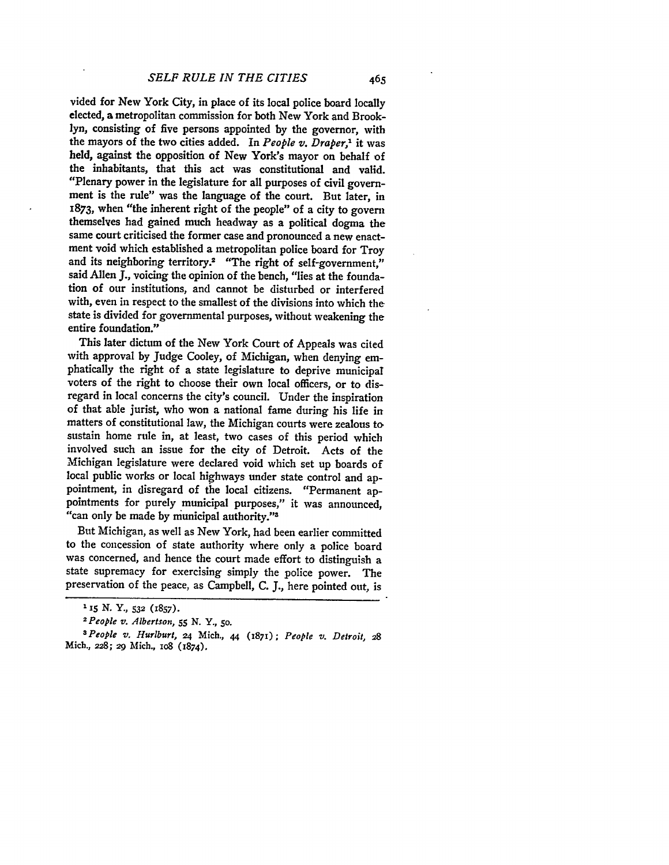vided for New York City, in place of its local police board locally elected, a metropolitan commission for both New York and Brooklyn, consisting of five persons appointed by the governor, with the mayors of the two cities added. In *People v. Draper,1* it was held, against the opposition of New York's mayor on behalf of the inhabitants, that this act was constitutional and valid. "Plenary power in the legislature for all purposes of civil government is the rule" was the language of the court. But later, in 1873, when "the inherent right of the people" of a city to govern themselves had gained much headway as a political dogma the same court criticised the former case and pronounced a new enactment void which established a metropolitan police board for Troy and its neighboring territory.<sup>2</sup> "The right of self-government." said Allen **J.,** voicing the opinion of the bench, "lies at the foundation of our institutions, and cannot be disturbed or interfered with, even in respect to the smallest of the divisions into which the state is divided for governmental purposes, without weakening the entire foundation."

This later dictum of the New York Court of Appeals was cited with approval **by** Judge Cooley, of Michigan, when denying emphatically the right of a state legislature to deprive municipal voters of the right to choose their own local officers, or to disregard in local concerns the city's council. Under the inspiration of that able jurist, who won a national fame during his life in matters of constitutional law, the Michigan courts were zealous to, sustain home rule in, at least, two cases of this period which involved such an issue for the city of Detroit. Acts of the Michigan legislature were declared void which set up boards of local public works or local highways under state control and appointment, in disregard of **the** local citizens. "Permanent appointments for purely municipal purposes," it was announced, "can only be made **by** municipal authority."s

But Michigan, as well as New York, had been earlier committed to the concession of state authority where only a police board was concerned, and hence the court made effort to distinguish a state supremacy for exercising simply the police power. The preservation of the peace, as Campbell, **C. J.,** here pointed out, is

**<sup>115</sup> N. Y., 532** (1857).

<sup>2</sup> *People v. Albertson,* **55** *N.* Y., **5o.**

*<sup>3</sup> People v. Hurlburt,* **24** Mich., 44 (87); *People z. Detroit, <sup>28</sup>* **Mich., 228;** *29* Mich., **io8** (1874).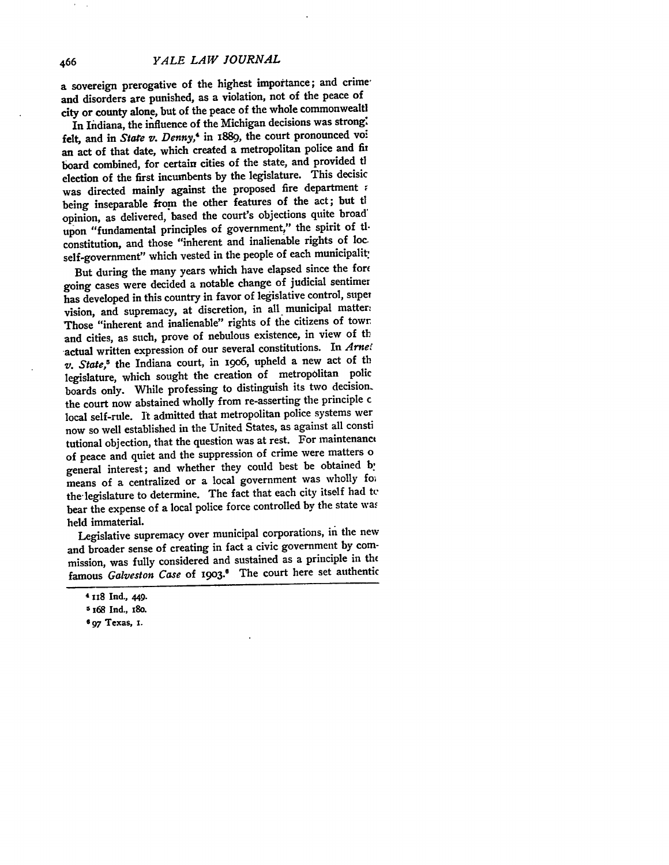a sovereign prerogative of the highest importance; and crime' and disorders are punished, as a violation, not of the peace of city or county alone, but of the peace of the whole commonwealti

In Indiana, the influence of the Michigan decisions was strong! felt, and in *State v. Denny*,<sup>4</sup> in 1889, the court pronounced voi an act of that date, which created a metropolitan police and **fit** board combined, for certain cities of the state, and provided **tl** election of the first incumbents **by** the legislature. This decisic was directed mainly against the proposed fire department  being inseparable from the other features of the act; but tl opinion, as delivered, based the court's objections quite broad' upon "fundamental principles of government," the spirit of tl. constitution, and those "inherent and inalienable rights of loc. self-government" which vested in the people of each municipalit:

But during the many years which have elapsed since the fore going cases were decided a notable change of judicial sentimer has developed in this country in favor of legislative control, super vision, and supremacy, at discretion, in all municipal matter. Those "inherent and inalienable" rights of the citizens of towr and cities, as such, prove of nebulous existence, in view of th actual written expression of our several constitutions. In *Arne, V. State,5* the Indiana court, in 19o6, upheld a new act of th legislature, which sought the creation of metropolitan polic boards only. While professing to distinguish its two decision. the court now abstained wholly from re-asserting the principle c local self-rule. It admitted that metropolitan police systems wer now so well established in the United States, as against all consti tutional objection, that the question was at rest. For maintenanct of peace and quiet and the suppression of crime were matters o general interest; and whether they could best be obtained **b,** means of a centralized or a local government was wholly foi the legislature to determine. The fact that each city itself had to bear the expense of a local police force controlled by the state was held immaterial.

Legislative supremacy over municipal corporations, in the new and broader sense of creating in fact a civic government **by** commission, was fully considered and sustained as a principle in the famous *Galveston Case* of 1903.<sup>6</sup> The court here set authentic

**<sup>4 118</sup> Ind., 449.**

**<sup>5 168</sup> Ind., 18o.**

**<sup>6</sup> 97 Texas, i.**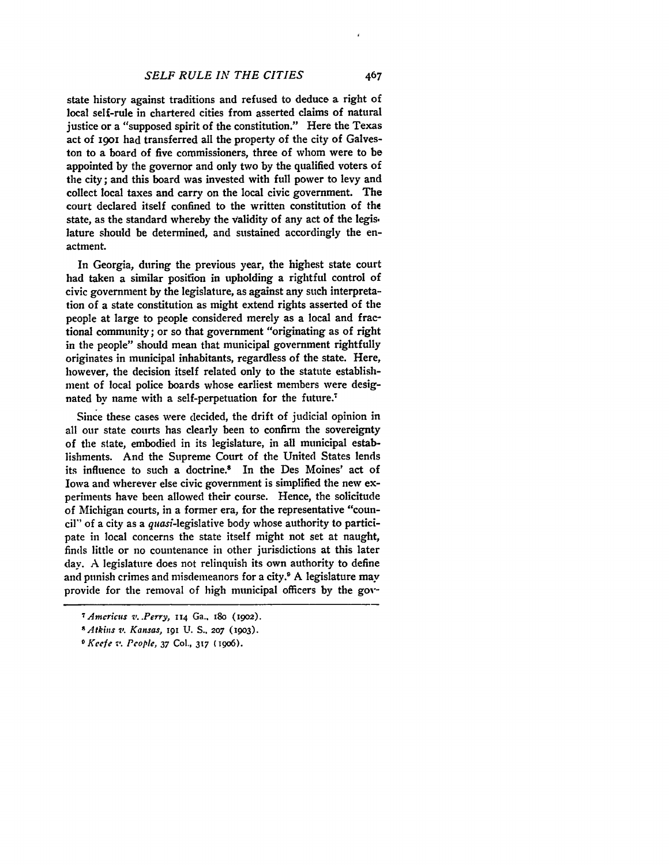state history against traditions and refused to deduce a right of local self-rule in chartered cities from asserted claims of natural justice or a "supposed spirit of the constitution." Here the Texas act of **1901** had transferred all the property of the city of Galveston to a board of five commissioners, three of whom were to be appointed **by** the governor and only two **by** the qualified voters of the city; and this board was invested with full power to levy and collect local taxes and carry on the local civic government. The court declared itself confined to the written constitution of the state, as the standard whereby the validity of any act of the legis. lature should be determined, and sustained accordingly the enactment.

In Georgia, during the previous year, the highest state court had taken a similar position in upholding a rightful control of civic government **by** the legislature, as against any such interpretation of a state constitution as might extend rights asserted of the people at large to people considered merely as a local and fractional community; or so that government "originating as of right in the people" should mean that municipal government rightfully originates in municipal inhabitants, regardless of the state. Here, however, the decision itself related only to the statute establishment of local police boards whose earliest members were designated by name with a self-perpetuation for the future.<sup>7</sup>

Since these cases were decided, the drift of judicial opinion in all our state courts has clearly been to confirm the sovereignty of the state, embodied in its legislature, in all municipal establishments. And the Supreme Court of the United States lends its influence to such a doctrine.\$ In the Des Moines' act of Iowa and wherever else civic government is simplified the new experiments have been allowed their course. Hence, the solicitude of Michigan courts, in a former era, for the representative "council" of a city as a quasi-legislative body whose authority to participate in local concerns the state itself might not set at naught, finds little or no countenance in other jurisdictions at this later day. **A** legislature does not relinquish its own authority to define and punish crimes and misdemeanors for a city. <sup>9</sup>**A** legislature may provide for the removal of high municipal officers **by** the gov-

*<sup>7</sup>Amcricus v..Perry,* **1T4** Ga.. i8o **(i9o2).**

*<sup>8</sup> Atkins ,. Kansas, 191* **U. S.. 207 (1903).**

**<sup>0</sup>** *Keefe T,. People,* **37 Col., 317** (igo6).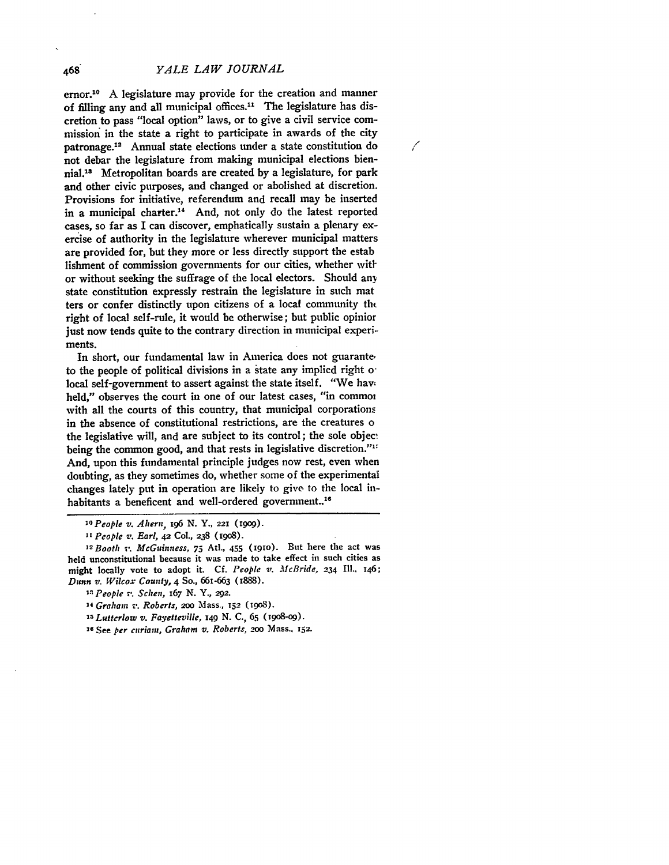*YALE LAW JOURNAL*

ernor.10 **A** legislature may provide for the creation and manner of filling any and all municipal offices.<sup>11</sup> The legislature has discretion to pass "local option" laws, or to give a civil service commission in the state a right to participate in awards of the city patronage.<sup>12</sup> Annual state elections under a state constitution do  $\sqrt{ }$ not debar the legislature from making municipal elections biennial.ls Metropolitan boards are created **by** a legislature, for park and other civic purposes, and changed or abolished at discretion. Provisions for initiative, referendum and recall may be inserted in a municipal charter.<sup>14</sup> And, not only do the latest reported cases, so far as I can discover, emphatically sustain a plenary exercise of authority in the legislature wherever municipal matters are provided for, but they more or less directly support the estab lishment of commission governments for our cities, whether **witl**or without seeking the suffrage of the local electors. Should any state constitution expressly restrain the legislature in such mat ters or confer distinctly upon citizens of a local community tht right of local self-rule, it would be otherwise; but public opinior just now tends quite to the contrary direction in municipal experiments.

In short, our fundamental law in America does not guarante, to the people of political divisions in a state any implied right o local self-government to assert against the state itself. "We hav held," observes the court in one of our latest cases, "in commoi with all the courts of this country, that municipal corporations in the absence of constitutional restrictions, are the creatures o the legislative will, and are subject to its control; the sole objeci being the common good, and that rests in legislative discretion."<sup>11</sup> And, upon this fundamental principle judges now rest, even when doubting, as they sometimes do, whether some of the experimentai changes lately put in operation are likely to give to the local inhabitants a beneficent and well-ordered government..<sup>16</sup>

*36* See *per* curiam, Graham *v. Roberts,* 2oo Mass.. 152.

468

*<sup>2</sup> 0People v. Ahern,* **196 N. Y.,** 221 *(igog).*

**I** *IPeople v. Earl,* 42 **Col., 238 (1908).**

<sup>12</sup> Booth v. McGuinness, 75 Atl., 455 (1910). But here the act was held unconstitutional because it was made to take effect in such cities as might locally vote to adopt it. **Cf.** *People sy. McBride,* 234 **Ill..** 146; Dunn v. *Wilcox County,* 4 So., 661-663 (1888).

<sup>1</sup> *People v. Schen, 167* N. Y., **292.**

**<sup>21</sup>***Graham v. Roberts,* 2oo Mass., 152 **(1908).**

*<sup>15</sup>Lutterlow v. Fayetteville, 149* **N. C., 65 (09o8-og).**